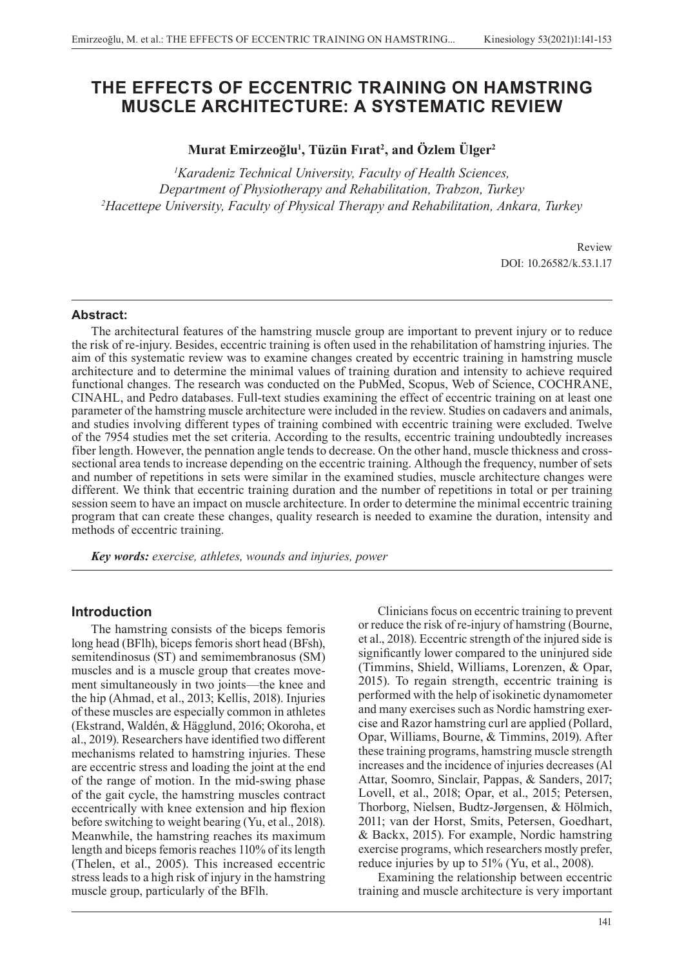# **THE EFFECTS OF ECCENTRIC TRAINING ON HAMSTRING MUSCLE ARCHITECTURE: A SYSTEMATIC REVIEW**

## **Murat Emirzeoğlu<sup>1</sup> , Tüzün Fırat<sup>2</sup> , and Özlem Ülger<sup>2</sup>**

*1 Karadeniz Technical University, Faculty of Health Sciences, Department of Physiotherapy and Rehabilitation, Trabzon, Turkey 2 Hacettepe University, Faculty of Physical Therapy and Rehabilitation, Ankara, Turkey*

> Review DOI: 10.26582/k.53.1.17

#### **Abstract:**

The architectural features of the hamstring muscle group are important to prevent injury or to reduce the risk of re-injury. Besides, eccentric training is often used in the rehabilitation of hamstring injuries. The aim of this systematic review was to examine changes created by eccentric training in hamstring muscle architecture and to determine the minimal values of training duration and intensity to achieve required functional changes. The research was conducted on the PubMed, Scopus, Web of Science, COCHRANE, CINAHL, and Pedro databases. Full-text studies examining the effect of eccentric training on at least one parameter of the hamstring muscle architecture were included in the review. Studies on cadavers and animals, and studies involving different types of training combined with eccentric training were excluded. Twelve of the 7954 studies met the set criteria. According to the results, eccentric training undoubtedly increases fiber length. However, the pennation angle tends to decrease. On the other hand, muscle thickness and crosssectional area tends to increase depending on the eccentric training. Although the frequency, number of sets and number of repetitions in sets were similar in the examined studies, muscle architecture changes were different. We think that eccentric training duration and the number of repetitions in total or per training session seem to have an impact on muscle architecture. In order to determine the minimal eccentric training program that can create these changes, quality research is needed to examine the duration, intensity and methods of eccentric training.

*Key words: exercise, athletes, wounds and injuries, power*

### **Introduction**

The hamstring consists of the biceps femoris long head (BFlh), biceps femoris short head (BFsh), semitendinosus (ST) and semimembranosus (SM) muscles and is a muscle group that creates movement simultaneously in two joints—the knee and the hip (Ahmad, et al., 2013; Kellis, 2018). Injuries of these muscles are especially common in athletes (Ekstrand, Waldén, & Hägglund, 2016; Okoroha, et al., 2019). Researchers have identified two different mechanisms related to hamstring injuries. These are eccentric stress and loading the joint at the end of the range of motion. In the mid-swing phase of the gait cycle, the hamstring muscles contract eccentrically with knee extension and hip flexion before switching to weight bearing (Yu, et al., 2018). Meanwhile, the hamstring reaches its maximum length and biceps femoris reaches 110% of its length (Thelen, et al., 2005). This increased eccentric stress leads to a high risk of injury in the hamstring muscle group, particularly of the BFlh.

Clinicians focus on eccentric training to prevent or reduce the risk of re-injury of hamstring (Bourne, et al., 2018). Eccentric strength of the injured side is significantly lower compared to the uninjured side (Timmins, Shield, Williams, Lorenzen, & Opar, 2015). To regain strength, eccentric training is performed with the help of isokinetic dynamometer and many exercises such as Nordic hamstring exercise and Razor hamstring curl are applied (Pollard, Opar, Williams, Bourne, & Timmins, 2019). After these training programs, hamstring muscle strength increases and the incidence of injuries decreases (Al Attar, Soomro, Sinclair, Pappas, & Sanders, 2017; Lovell, et al., 2018; Opar, et al., 2015; Petersen, Thorborg, Nielsen, Budtz-Jørgensen, & Hölmich, 2011; van der Horst, Smits, Petersen, Goedhart, & Backx, 2015). For example, Nordic hamstring exercise programs, which researchers mostly prefer, reduce injuries by up to 51% (Yu, et al., 2008).

Examining the relationship between eccentric training and muscle architecture is very important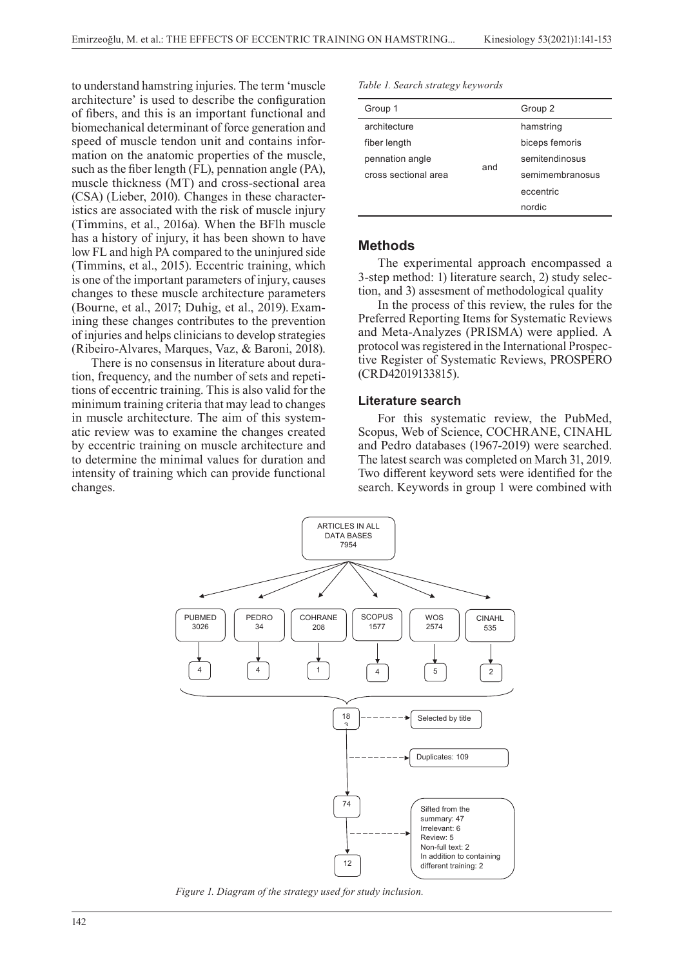to understand hamstring injuries. The term 'muscle architecture' is used to describe the configuration of fibers, and this is an important functional and biomechanical determinant of force generation and speed of muscle tendon unit and contains information on the anatomic properties of the muscle, such as the fiber length (FL), pennation angle (PA), muscle thickness (MT) and cross-sectional area (CSA) (Lieber, 2010). Changes in these characteristics are associated with the risk of muscle injury (Timmins, et al., 2016a). When the BFlh muscle has a history of injury, it has been shown to have low FL and high PA compared to the uninjured side (Timmins, et al., 2015). Eccentric training, which is one of the important parameters of injury, causes changes to these muscle architecture parameters (Bourne, et al., 2017; Duhig, et al., 2019). Examining these changes contributes to the prevention of injuries and helps clinicians to develop strategies (Ribeiro-Alvares, Marques, Vaz, & Baroni, 2018).

There is no consensus in literature about duration, frequency, and the number of sets and repetitions of eccentric training. This is also valid for the minimum training criteria that may lead to changes in muscle architecture. The aim of this systematic review was to examine the changes created by eccentric training on muscle architecture and to determine the minimal values for duration and intensity of training which can provide functional changes. Current: COHRANE

|  |  |  |  | Table 1. Search strategy keywords |
|--|--|--|--|-----------------------------------|
|--|--|--|--|-----------------------------------|

| Group 1              |     | Group 2         |
|----------------------|-----|-----------------|
| architecture         |     | hamstring       |
| fiber length         |     | biceps femoris  |
| pennation angle      | and | semitendinosus  |
| cross sectional area |     | semimembranosus |
|                      |     | eccentric       |
|                      |     | nordic          |

### **Methods**

The experimental approach encompassed a 3-step method: 1) literature search, 2) study selection, and 3) assesment of methodological quality

In the process of this review, the rules for the Preferred Reporting Items for Systematic Reviews and Meta-Analyzes (PRISMA) were applied. A protocol was registered in the International Prospective Register of Systematic Reviews, PROSPERO (CRD42019133815).

#### **Literature search**

For this systematic review, the PubMed, changes created Scopus, Web of Science, COCHRANE, CINAHL and Pedro databases (1967-2019) were searched. The latest search was completed on March 31, 2019. Two different keyword sets were identified for the search. Keywords in group 1 were combined with



*Figure 1. Diagram of the strategy used for study inclusion.*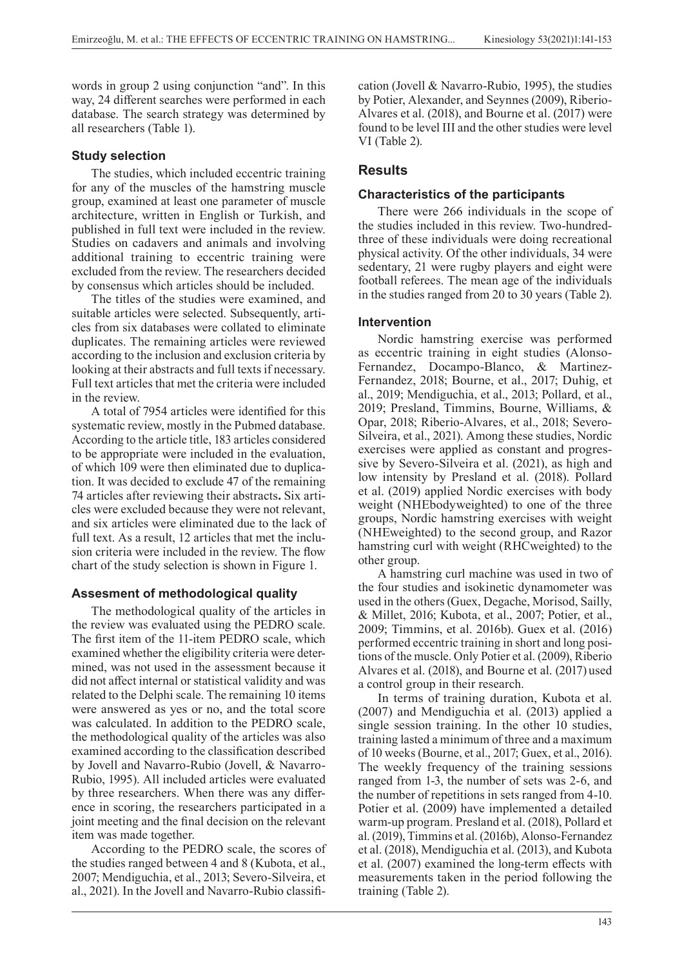words in group 2 using conjunction "and". In this way, 24 different searches were performed in each database. The search strategy was determined by all researchers (Table 1).

#### **Study selection**

The studies, which included eccentric training for any of the muscles of the hamstring muscle group, examined at least one parameter of muscle architecture, written in English or Turkish, and published in full text were included in the review. Studies on cadavers and animals and involving additional training to eccentric training were excluded from the review. The researchers decided by consensus which articles should be included.

The titles of the studies were examined, and suitable articles were selected. Subsequently, articles from six databases were collated to eliminate duplicates. The remaining articles were reviewed according to the inclusion and exclusion criteria by looking at their abstracts and full texts if necessary. Full text articles that met the criteria were included in the review.

A total of 7954 articles were identified for this systematic review, mostly in the Pubmed database. According to the article title, 183 articles considered to be appropriate were included in the evaluation, of which 109 were then eliminated due to duplication. It was decided to exclude 47 of the remaining 74 articles after reviewing their abstracts**.** Six articles were excluded because they were not relevant, and six articles were eliminated due to the lack of full text. As a result, 12 articles that met the inclusion criteria were included in the review. The flow chart of the study selection is shown in Figure 1.

### **Assesment of methodological quality**

The methodological quality of the articles in the review was evaluated using the PEDRO scale. The first item of the 11-item PEDRO scale, which examined whether the eligibility criteria were determined, was not used in the assessment because it did not affect internal or statistical validity and was related to the Delphi scale. The remaining 10 items were answered as yes or no, and the total score was calculated. In addition to the PEDRO scale, the methodological quality of the articles was also examined according to the classification described by Jovell and Navarro-Rubio (Jovell, & Navarro-Rubio, 1995). All included articles were evaluated by three researchers. When there was any difference in scoring, the researchers participated in a joint meeting and the final decision on the relevant item was made together.

According to the PEDRO scale, the scores of the studies ranged between 4 and 8 (Kubota, et al., 2007; Mendiguchia, et al., 2013; Severo-Silveira, et al., 2021). In the Jovell and Navarro-Rubio classification (Jovell & Navarro-Rubio, 1995), the studies by Potier, Alexander, and Seynnes (2009), Riberio-Alvares et al. (2018), and Bourne et al. (2017) were found to be level III and the other studies were level VI (Table 2).

## **Results**

#### **Characteristics of the participants**

There were 266 individuals in the scope of the studies included in this review. Two-hundredthree of these individuals were doing recreational physical activity. Of the other individuals, 34 were sedentary, 21 were rugby players and eight were football referees. The mean age of the individuals in the studies ranged from 20 to 30 years (Table 2).

#### **Intervention**

Nordic hamstring exercise was performed as eccentric training in eight studies (Alonso-Fernandez, Docampo-Blanco, & Martinez-Fernandez, 2018; Bourne, et al., 2017; Duhig, et al., 2019; Mendiguchia, et al., 2013; Pollard, et al., 2019; Presland, Timmins, Bourne, Williams, & Opar, 2018; Riberio-Alvares, et al., 2018; Severo-Silveira, et al., 2021). Among these studies, Nordic exercises were applied as constant and progressive by Severo-Silveira et al. (2021), as high and low intensity by Presland et al. (2018). Pollard et al. (2019) applied Nordic exercises with body weight (NHEbodyweighted) to one of the three groups, Nordic hamstring exercises with weight (NHEweighted) to the second group, and Razor hamstring curl with weight (RHCweighted) to the other group.

A hamstring curl machine was used in two of the four studies and isokinetic dynamometer was used in the others (Guex, Degache, Morisod, Sailly, & Millet, 2016; Kubota, et al., 2007; Potier, et al., 2009; Timmins, et al. 2016b). Guex et al. (2016) performed eccentric training in short and long positions of the muscle. Only Potier et al. (2009), Riberio Alvares et al. (2018), and Bourne et al. (2017) used a control group in their research.

In terms of training duration, Kubota et al. (2007) and Mendiguchia et al. (2013) applied a single session training. In the other 10 studies, training lasted a minimum of three and a maximum of 10 weeks (Bourne, et al., 2017; Guex, et al., 2016). The weekly frequency of the training sessions ranged from 1-3, the number of sets was 2-6, and the number of repetitions in sets ranged from 4-10. Potier et al. (2009) have implemented a detailed warm-up program. Presland et al. (2018), Pollard et al. (2019), Timmins et al. (2016b), Alonso-Fernandez et al. (2018), Mendiguchia et al. (2013), and Kubota et al. (2007) examined the long-term effects with measurements taken in the period following the training (Table 2).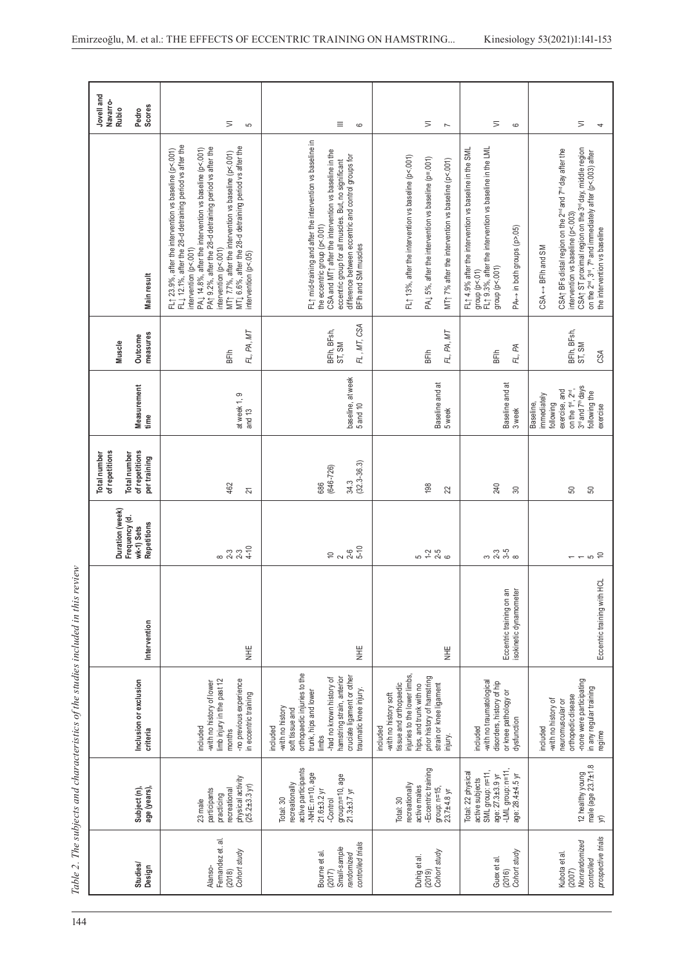|                                                                              |                                                                                                                                        |                                                                                                                                                                                                                                    |                                                       |                                                               | of repetitions<br><b>Total number</b>           |                                                                                                                                                                               |                                      |                                                                                                                                                                                                                                                                                                                                                                                                                                                  | Jovelland<br>Navarro-<br><b>Rubio</b> |
|------------------------------------------------------------------------------|----------------------------------------------------------------------------------------------------------------------------------------|------------------------------------------------------------------------------------------------------------------------------------------------------------------------------------------------------------------------------------|-------------------------------------------------------|---------------------------------------------------------------|-------------------------------------------------|-------------------------------------------------------------------------------------------------------------------------------------------------------------------------------|--------------------------------------|--------------------------------------------------------------------------------------------------------------------------------------------------------------------------------------------------------------------------------------------------------------------------------------------------------------------------------------------------------------------------------------------------------------------------------------------------|---------------------------------------|
| Studies/<br>Design                                                           | Subject (n),<br>age (years)                                                                                                            | Inclusion or exclusion<br>criteria                                                                                                                                                                                                 | Intervention                                          | Duration (week)<br>Frequency (d.<br>Repetitions<br>wk-1) Sets | of repetitions<br>Total number<br>pertraining   | Measurement<br>time                                                                                                                                                           | measures<br>Outcome<br>Muscle        | Main result                                                                                                                                                                                                                                                                                                                                                                                                                                      | <b>Scores</b><br>Pedro                |
| Fernandez et. al<br>Cohort study<br>Alanso-<br>(2018)                        | physical activity<br>(25.2±3.3 yr)<br>recreational<br>participants<br>practicing<br>23 male                                            | limb injury in the past 12<br>-no previous experience<br>-with no history of lower<br>in eccentric training<br>ncluded<br>months                                                                                                   | 半<br>三                                                | 823<br>823<br>844                                             | 462<br>21                                       | at week 1, 9<br>and 13                                                                                                                                                        | МT<br>FL, PA,<br>BFlh                | FL 12.1%, after the 28-d detraining period vs after the<br>MTL 6.6%, after the 28-d detraining period vs after the<br>PA1 9.2%, after the 28-d detraining period vs after the<br>PA $\downarrow$ 14.8%, after the intervention vs baseline (p<.001)<br>FL1 23.9%, after the intervention vs baseline (p<.001)<br>MT1 7.7%, after the intervention vs baseline (p<.001)<br>intervention (p<.001)<br>intervention (p<.001)<br>intervention (p<.05) | $\leq$<br>5                           |
| controlled trials<br>Small-sample<br>Bourne et al.<br>randomized<br>(2017)   | active participants<br>-NHE: n=10, age<br>group:n=10, age<br>21.3±3.7 yr<br>recreationally<br>$21.6 + 3.2$ yr<br>Total: 30<br>-Control | orthopaedic injuries to the<br>cruciate ligament or other<br>hamstring strain, anterior<br>-had no known history of<br>traumatic knee injury.<br>trunk, hips and lower<br>-with no history<br>soft tissue and<br>included<br>limbs | 半<br>NH                                               | $2826$<br>$250$                                               | $(32.3 - 36.3)$<br>$(646 - 726)$<br>34.3<br>686 | baseline, at week<br>5 and 10                                                                                                                                                 | FL, MT, CSA<br>BFlh, BFsh,<br>ST, SM | FL1 mid-training and after the intervention vs baseline in<br>CSA and MT $\uparrow$ after the intervention vs baseline in the<br>difference between eccentric and control groups for<br>eccentric group for all muscles. But, no significant<br>the eccentric group (p<.001)<br>BFIh and SM muscles                                                                                                                                              | Ξ<br>$\circ$                          |
| Cohort study<br>Duhig et al.<br>(2019)                                       | -Eccentric training<br>recreationally<br>active males<br>group: $n=15$ ,<br>$23.7 + 8$ yr<br>Total: 30                                 | injuries to the lower limbs,<br>prior history of hamstring<br>tissue and orthopaedic<br>hips, and trunk with no<br>strain or knee ligament<br>-with no history soft<br>included<br>injury.                                         | 当<br>三                                                | 5 1-5<br>5 1-5<br>6                                           | 198<br>22                                       | Baseline and at<br>5 week                                                                                                                                                     | ΜT<br>FL, PA,<br>BFlh                | FL1 13%, after the intervention vs baseline (p<.001)<br>PA $\downarrow$ 5%, after the intervention vs baseline (p=.001)<br>MT1 7% after the intervention vs baseline (p<.001)                                                                                                                                                                                                                                                                    | $\leq$<br>$\overline{ }$              |
| Cohort study<br>Guex et al.<br>(2016)                                        | SML group: n=11,<br>-LML group: n=11<br>Total: 22 physical<br>age: 27.3±3.9 yr<br>age: 28.4±4.5 yr<br>active subjects                  | -with no traumatological<br>disorders, history of hip<br>or knee pathology or<br>dysfunction<br>included                                                                                                                           | ШË<br>isokinetic dynamometer<br>Eccentric training on | က ကို ကို<br>က လို ကို ထ                                      | 240<br>$\approx$                                | Baseline and at<br>3 week                                                                                                                                                     | FL, PA<br>BFlh                       | FL1 9.3%, after the intervention vs baseline in the LML<br>FL $\uparrow$ 4.9% after the intervention vs baseline in the SML<br>PA← in both groups (p>.05)<br>group (p<.001)<br>group (p<.01)                                                                                                                                                                                                                                                     | $\leq$<br>$\circ$                     |
| prospective trials<br>Nonrandomized<br>Kubota et al.<br>controlled<br>(2007) | 12 healthy young<br>male (age $23.7\pm1.8$<br>$\widetilde{K}$                                                                          | -none were participating<br>in any regular training<br>orthopedic disease<br>-with no history of<br>neuromuscular or<br>included<br>regime                                                                                         | Eccentric training with HCL                           | $\frac{1}{2}$ a $\frac{1}{2}$                                 | 50<br>SO                                        | 3 <sup>rd</sup> and 7 <sup>th</sup> days<br>exercise, and<br>on the 1 <sup>st</sup> , 2 <sup>nd</sup> ,<br>following the<br>immediately<br>following<br>Baseline,<br>exercise | BFlh, BFsh,<br>ST, SM<br>CSA         | CSAt ST proximal region on the 3 <sup>rd</sup> day, middle region<br>CSA <sub>T</sub> BFs distal region on the 2 <sup>nd</sup> and 7 <sup>nd</sup> day after the<br>on the 2 <sup>nd</sup> , 3 <sup>nd</sup> , 7 <sup>th</sup> and immediately after (p<.003) after<br>intervention vs baseline (p<.003)<br>the intervention vs baseline<br>CSA <- BFIh and SM                                                                                   | $\overline{>}$<br>4                   |

Table 2. The subjects and characteristics of the studies included in this review 144*Table 2. The subjects and characteristics of the studies included in this review*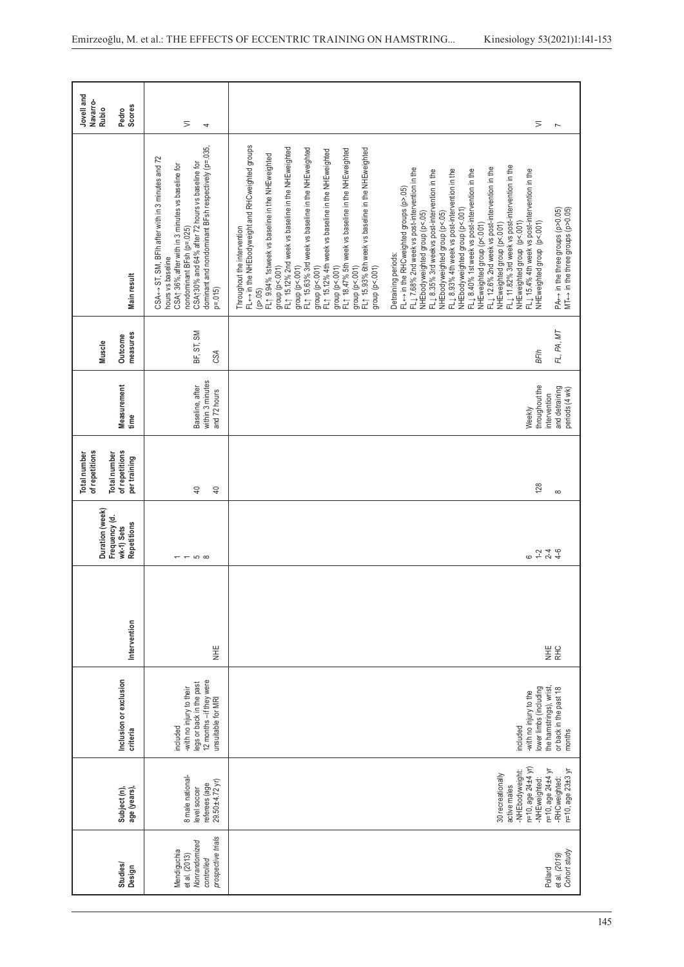|                                                                                   |                                                                         |                                                                                                                  |               | Duration (week)                            | of repetitions<br>Total number                |                                                     | Muscle              |                                                                                                                                                                                                                                                                                                                                                                                                                                                                                                                                                                                                                                                                                                                                                                                                                                                                                                                                                                                                                                                                                                      | Jovell and<br>Navarro-<br>Rubio |
|-----------------------------------------------------------------------------------|-------------------------------------------------------------------------|------------------------------------------------------------------------------------------------------------------|---------------|--------------------------------------------|-----------------------------------------------|-----------------------------------------------------|---------------------|------------------------------------------------------------------------------------------------------------------------------------------------------------------------------------------------------------------------------------------------------------------------------------------------------------------------------------------------------------------------------------------------------------------------------------------------------------------------------------------------------------------------------------------------------------------------------------------------------------------------------------------------------------------------------------------------------------------------------------------------------------------------------------------------------------------------------------------------------------------------------------------------------------------------------------------------------------------------------------------------------------------------------------------------------------------------------------------------------|---------------------------------|
|                                                                                   | age (years),<br>Subject (n),                                            | Inclusion or exclusion<br>criteria                                                                               | Intervention  | Frequency (d.<br>Repetitions<br>wk-1) Sets | of repetitions<br>Total number<br>pertraining | Measurement<br>time                                 | measures<br>Outcome | Main result                                                                                                                                                                                                                                                                                                                                                                                                                                                                                                                                                                                                                                                                                                                                                                                                                                                                                                                                                                                                                                                                                          | Scores<br>Pedro                 |
| prospective trials<br>Nonrandomized<br>Mendiguchia<br>et al. (2013)<br>controlled | 8 male national-<br>$29.50 + 4.72$ yr)<br>referees (age<br>level soccer | 12 months -if they were<br>egs or back in the past<br>-with no injury to their<br>unsuitable for MRI<br>included | 当<br>三        | $-50$                                      | $\overline{4}$<br>$\overline{4}$              | within 3 minutes<br>Baseline, after<br>and 72 hours | BF, ST, SM<br>CSA   | dominant and nondominant BFsh respectively (p=.035,<br>CSA←→ ST, SM, BFlh after with in 3 minutes and 72<br>CSA130% and 64% after 72 hours vs baseline for<br>CSA1 36%, after with in 3 minutes vs baseline for<br>nondominant BFsh (p=.025)<br>hours vs baseline<br>$p = 015$                                                                                                                                                                                                                                                                                                                                                                                                                                                                                                                                                                                                                                                                                                                                                                                                                       | ⋝<br>4                          |
|                                                                                   | -NHEbodyweight:<br>30 recreationally<br>active males                    | included                                                                                                         |               |                                            |                                               |                                                     |                     | FL← in the NHEbodyweight and RHCweighted groups<br>FL1 15.12% 2nd week vs baseline in the NHEweighted<br>FL1 15.63% 3rd week vs baseline in the NHEweighted<br>FL1 15.93% 6th week vs baseline in the NHEweighted<br>FL1 18.47% 5th week vs baseline in the NHEweighted<br>FL1 15.12% 4th week vs baseline in the NHEweighted<br>FL1 9.94% 1stweek vs baseline in the NHEweighted<br>FL1 11.82% 3rd week vs post-intervention in the<br>FL1 7.68% 2nd week vs post-intervention in the<br>FL1 12.6% 2nd week vs post-intervention in the<br>FL $\downarrow$ 8.93% 4th week vs post-intervention in the<br>$FLL$ 8.35% 3rd weekvs post-intervention in the<br>FL1 8.40% 1st week vs post-intervention in the<br>FL← in the RHCweighted groups (p>.05)<br>NHEbodyweighted group (p<.001)<br>NHEbodyweighted group (p<.05)<br>NHEbodyweighted group (p<.05)<br>NHEweighted group (p<.001)<br>NHEweighted group (p<.001)<br>Throughout the intervention<br>Detraining periods:<br>group (p<.001)<br>group (p<.001)<br>group (p<.001)<br>group (p<.001)<br>group (p<.001)<br>group $(p<.001)$<br>(p > 05) |                                 |
|                                                                                   | n=10, age 24±4 yr)<br>-NHEweighted:                                     | lower limbs (including<br>with no injury to the                                                                  |               | $6 + 240$<br>$-240$                        | 128                                           | throughout the<br>Weekly                            | <b>BFlh</b>         | FL $\downarrow$ 15.4% 4th week vs post-intervention in the<br>NHEweighted group (p<.001)<br>NHEweighted group (p<.001)                                                                                                                                                                                                                                                                                                                                                                                                                                                                                                                                                                                                                                                                                                                                                                                                                                                                                                                                                                               | ⋝                               |
| Cohort study<br>et al. (2019)                                                     | n=10, age 23±3 yr<br>n=10, age 24±4 yr<br>-RHCweighted:                 | the hamstrings), wrist,<br>or back in the past 18<br>months                                                      | 当<br>三<br>RHC |                                            | $\infty$                                      | and detraining<br>periods (4 wk)<br>intervention    | FL, PA, MT          | $MT \leftrightarrow$ in the three groups (p>0.05)<br>PA⇔ in the three groups (p>0.05)                                                                                                                                                                                                                                                                                                                                                                                                                                                                                                                                                                                                                                                                                                                                                                                                                                                                                                                                                                                                                | $\overline{ }$                  |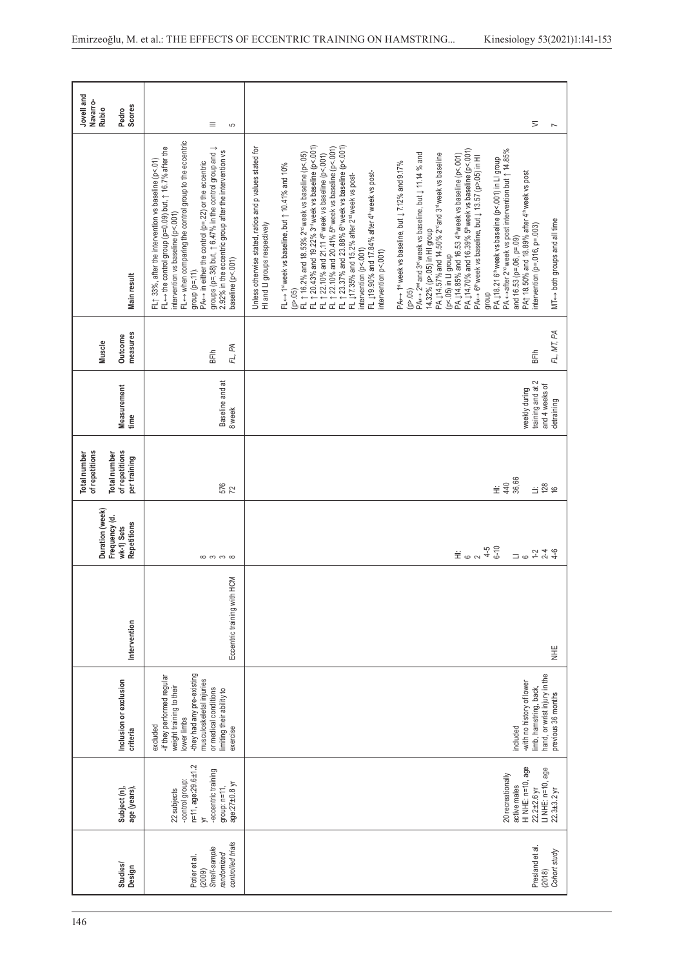| Jovell and<br>Navarro-<br>Rubio                       | <b>Scores</b><br>Pedro             | Ξ<br>မာ                                                                                                                                                                                                                                                                                                                                                                                                                                                              | $\overline{>}$<br>$\overline{ }$                                                                                                                                                                                                                                                                                                                                                                                                                                                                                                                                                                                                                                                                                                                                                                                                                                                                                                                                                                                                                                                                                                                                                                                                                                                                                                                                                                                                                                                      |
|-------------------------------------------------------|------------------------------------|----------------------------------------------------------------------------------------------------------------------------------------------------------------------------------------------------------------------------------------------------------------------------------------------------------------------------------------------------------------------------------------------------------------------------------------------------------------------|---------------------------------------------------------------------------------------------------------------------------------------------------------------------------------------------------------------------------------------------------------------------------------------------------------------------------------------------------------------------------------------------------------------------------------------------------------------------------------------------------------------------------------------------------------------------------------------------------------------------------------------------------------------------------------------------------------------------------------------------------------------------------------------------------------------------------------------------------------------------------------------------------------------------------------------------------------------------------------------------------------------------------------------------------------------------------------------------------------------------------------------------------------------------------------------------------------------------------------------------------------------------------------------------------------------------------------------------------------------------------------------------------------------------------------------------------------------------------------------|
|                                                       | Main result                        | FL <- when comparing the control group to the eccentric<br>FL← the control group (p=0.09) but, 1 16.7% after the<br>groups (p=.38) but, $\uparrow$ 6.47% in the control group and $\downarrow$<br>2.92% in the eccentric group after the intervention vs<br>FL1 33%, after the intervention vs baseline (p<.01)<br>PA $\leftrightarrow$ in either the control (p=.22) or the eccentric<br>intervention vs baseline (p<.001<br>baseline (p<.001)<br>$group (p = 11).$ | FL 1 20.43% and 19.22% 3* week vs baseline (p<.001)<br>FL 1 22.10% and 21.11 4* week vs baseline (p<.001)<br>FL 1 22.10% and 20.41% 5* week vs baseline (p<.001)<br>FL 1 23.37% and 23.88% 6* week vs baseline (p<.001)<br>Unless otherwise stated, ratios and p values stated for<br>PA ←→after 2 <sup>nd</sup> week vs post intervention but ↑ 14.85%<br>PA ↓14.70% and 16.39% 5™week vs baseline (p<.001)<br>PA← 6™week vs baseline, but ↓ 13.57 (p>.05) in HI<br>FL $\uparrow$ 16.2% and 18.53% 2 <sup>nd</sup> week vs baseline (p<.05)<br>PA $\leftrightarrow$ 2 <sup>nd</sup> and 3 <sup>nd</sup> week vs baseline, but $\downarrow$ 11.14 % and<br>PA 114.57% and 14.50% 2 <sup>nd</sup> and 3 <sup>rd</sup> week vs baseline<br>PA 114.85% and 16.53 4 <sup>th</sup> week vs baseline (p<.001)<br>PA 118.21 6 <sup>th</sup> week vs baseline (p<.001) in LI group<br>PA $\leftrightarrow$ 1st week vs baseline, but $\downarrow$ 7.12% and 9.17%<br>FL + 1 <sup>st</sup> week vs baseline, but 1 10.41% and 10%<br>FL 119.90% and 17.84% after 4 <sup>th</sup> week vs post-<br>PA1 18.50% and 18.89% after 4 <sup>th</sup> week vs post<br>FL 17.35% and 15.2% after 2 <sup>nd</sup> week vs post-<br>MT<-> both groups and all time<br>HI and LI groups respectively<br>intervention (p=.016, p=.003)<br>14.32% (p>.05) in HI group<br>and 16.53 (p=.06, p=.09)<br>intervention (p<.001)<br>intervention p<.001)<br>(p<.05) in LI group<br>(p > 0.5)<br>(p > 05)<br>dho.fo |
| Muscle                                                | measures<br>Outcome                | FL, PA<br>BFlh                                                                                                                                                                                                                                                                                                                                                                                                                                                       | FL, MT, PA<br><b>BFlh</b>                                                                                                                                                                                                                                                                                                                                                                                                                                                                                                                                                                                                                                                                                                                                                                                                                                                                                                                                                                                                                                                                                                                                                                                                                                                                                                                                                                                                                                                             |
|                                                       | Measurement<br>time                | Baseline and at<br>8 week                                                                                                                                                                                                                                                                                                                                                                                                                                            | training and at 2<br>and 4 weeks of<br>weekly during<br>detraining                                                                                                                                                                                                                                                                                                                                                                                                                                                                                                                                                                                                                                                                                                                                                                                                                                                                                                                                                                                                                                                                                                                                                                                                                                                                                                                                                                                                                    |
| of repetitions<br><b>Total number</b><br>Total number | of repetitions<br>pertraining      | 576                                                                                                                                                                                                                                                                                                                                                                                                                                                                  | 36,66<br>$\stackrel{+}{=}$ $\stackrel{+}{=}$<br>$\frac{11}{28}$                                                                                                                                                                                                                                                                                                                                                                                                                                                                                                                                                                                                                                                                                                                                                                                                                                                                                                                                                                                                                                                                                                                                                                                                                                                                                                                                                                                                                       |
| Duration (week)<br>Frequency (d.                      | Repetitions<br>wk-1) Sets          | $\infty$ က က $\infty$                                                                                                                                                                                                                                                                                                                                                                                                                                                | $\ddot{\Xi}$ is $\alpha$ $\ddot{\phi}$ is $\ddot{\Xi}$<br>$4 - 6$<br>$1 - 2$<br>$\Box$ $\circ$                                                                                                                                                                                                                                                                                                                                                                                                                                                                                                                                                                                                                                                                                                                                                                                                                                                                                                                                                                                                                                                                                                                                                                                                                                                                                                                                                                                        |
|                                                       | Intervention                       | Eccentric training with HCM                                                                                                                                                                                                                                                                                                                                                                                                                                          | \<br>∃                                                                                                                                                                                                                                                                                                                                                                                                                                                                                                                                                                                                                                                                                                                                                                                                                                                                                                                                                                                                                                                                                                                                                                                                                                                                                                                                                                                                                                                                                |
|                                                       | Inclusion or exclusion<br>criteria | -they had any pre-existing<br>-if they performed regular<br>musculoskeletal injuries<br>weight training to their<br>or medical conditions<br>imiting their ability to<br>lower limbs<br>excluded<br>exercise                                                                                                                                                                                                                                                         | hand, or wrist injury in the<br>-with no history of lower<br>limb, hamstring, back,<br>previous 36 months<br>included                                                                                                                                                                                                                                                                                                                                                                                                                                                                                                                                                                                                                                                                                                                                                                                                                                                                                                                                                                                                                                                                                                                                                                                                                                                                                                                                                                 |
|                                                       | Subject (n),<br>age (years)        | n=11, age:29.6±1.2<br>-eccentric training<br>-control group:<br>age:27±0.8 yr<br>group: $n=11$ ,<br>22 subjects<br>$\overline{\phantom{a}}$                                                                                                                                                                                                                                                                                                                          | HINHE: n=10, age<br>LINHE: n=10, age<br>20 recreationally<br>active males<br>$22.2 + 2.6$ yr<br>$22.3 + 3.2$ yr                                                                                                                                                                                                                                                                                                                                                                                                                                                                                                                                                                                                                                                                                                                                                                                                                                                                                                                                                                                                                                                                                                                                                                                                                                                                                                                                                                       |
|                                                       | Studies/<br>Design                 | controlled trials<br>Small-sample<br>randomized<br>Potier et al<br>(2009)                                                                                                                                                                                                                                                                                                                                                                                            | Presland et al<br>Cohort study<br>(2018)                                                                                                                                                                                                                                                                                                                                                                                                                                                                                                                                                                                                                                                                                                                                                                                                                                                                                                                                                                                                                                                                                                                                                                                                                                                                                                                                                                                                                                              |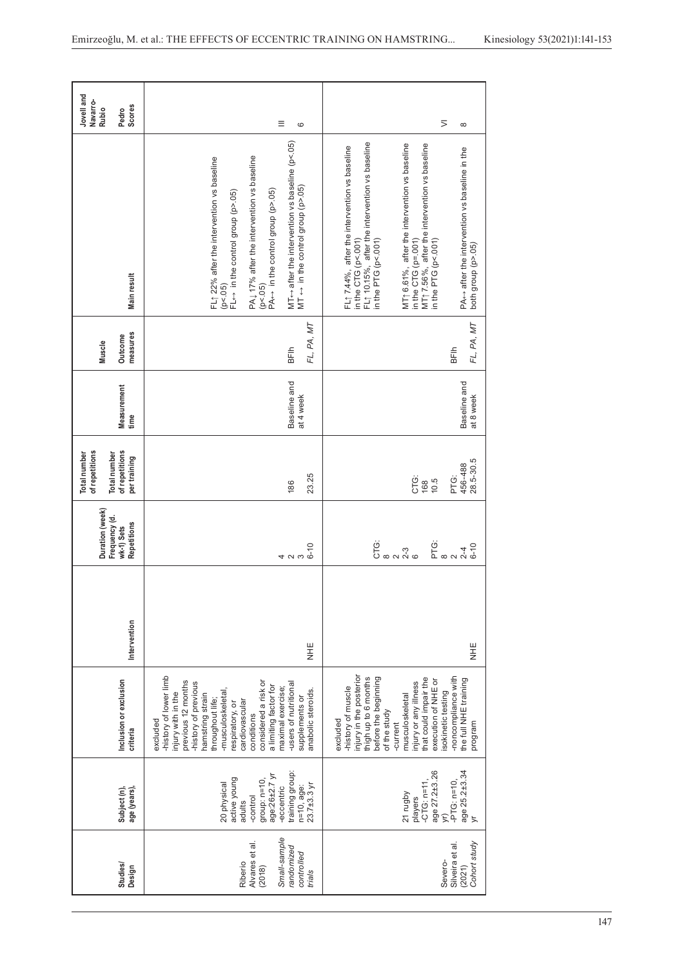| Studies/<br>Design                                                                        | age (years),<br>Subject (n),                                                                                                                          | Inclusion or exclusion<br>criteria                                                                                                                                                                                                                                                                                                                           | Intervention | Duration (week)<br>Frequency (d.<br>Repetitions<br>wk-1) Sets | of repetitions<br>of repetitions<br><b>Total number</b><br><b>Total</b> number<br>pertraining | Measurement<br>time       | measures<br>Outcome<br>Muscle | Main result                                                                                                                                                                                                                                                                                                                                                                                             | Jovell and<br>Navarro-<br><b>Scores</b><br>Rubio<br>Pedro |
|-------------------------------------------------------------------------------------------|-------------------------------------------------------------------------------------------------------------------------------------------------------|--------------------------------------------------------------------------------------------------------------------------------------------------------------------------------------------------------------------------------------------------------------------------------------------------------------------------------------------------------------|--------------|---------------------------------------------------------------|-----------------------------------------------------------------------------------------------|---------------------------|-------------------------------|---------------------------------------------------------------------------------------------------------------------------------------------------------------------------------------------------------------------------------------------------------------------------------------------------------------------------------------------------------------------------------------------------------|-----------------------------------------------------------|
|                                                                                           |                                                                                                                                                       |                                                                                                                                                                                                                                                                                                                                                              |              |                                                               |                                                                                               |                           |                               |                                                                                                                                                                                                                                                                                                                                                                                                         |                                                           |
| Small-sample<br>Alvares et al.<br>randomized<br>controlled<br>Riberio<br>(2018)<br>trials | training group:<br>age:26±2.7 y<br>active young<br>group: $n=10$ ,<br>20 physical<br>23.7±3.3 yr<br>$n=10$ , age:<br>-eccentric<br>-control<br>adults | -history of lower limb<br>previous 12 months<br>considered a risk or<br>-history of previous<br>-users of nutritional<br>a limiting factor for<br>maximal exercise;<br>anabolic steroids.<br>injury with in the<br>-musculoskeletal<br>hamstring strain<br>supplements or<br>throughout life;<br>cardiovascular<br>respiratory, or<br>conditions<br>excluded | HE<br>NHE    | $6 - 10$<br>4 U W                                             | 23.25<br>186                                                                                  | Baseline and<br>at 4 week | FL, PA, MT<br>BFlh            | MT $\leftrightarrow$ after the intervention vs baseline (p<.05)<br>PA, 17% after the intervention vs baseline<br>FL1 22% after the intervention vs baseline<br>MT $\leftrightarrow$ in the control group (p>.05)<br>$PA \leftrightarrow$ in the control group (p>.05)<br>$FL \leftrightarrow$ in the control group (p>.05)<br>(p < 05)<br>(p < 0.5)                                                     | Ξ<br>6                                                    |
| Cohort study<br>Silveira et al.<br>Severo-<br>(2021)                                      | age 25.2±3.34<br>age 27.2±3.26<br>$-PTG: n=10,$<br>$-CTG$ : n=11<br>21 rugby<br>players<br>ζĹ,<br>$\overline{v}$                                      | injury in the posterior<br>-noncompliance with<br>before the beginning<br>thigh up to 6 months<br>that could impair the<br>the full NHE training<br>execution of NHE or<br>injury or any illness<br>-history of muscle<br>sokinetic testing<br>musculoskeletal<br>of the study<br>excluded<br>program<br>-current                                            | HE<br>NHE    | ö<br>Umado<br>Ö<br>E ∞ ∾ √<br>$6 - 10$                        | 28.5-30.5<br>456-488<br>PTG:<br>CTG:<br>10.5<br>168                                           | Baseline and<br>at 8 week | FL, PA, MT<br>BFlh            | FL1 10.15%, after the intervention vs baseline<br>MT1 6.61%, after the intervention vs baseline<br>MT <sub>1</sub> 7.56%, after the intervention vs baseline<br>FL1 7.44%, after the intervention vs baseline<br>PA $\leftrightarrow$ after the intervention vs baseline in the<br>in the CTG ( $p = .001$ )<br>in the CTG (p<.001)<br>in the PTG (p<.001)<br>in the PTG (p<.001)<br>both group (p>.05) | $\overline{>}$<br>$\infty$                                |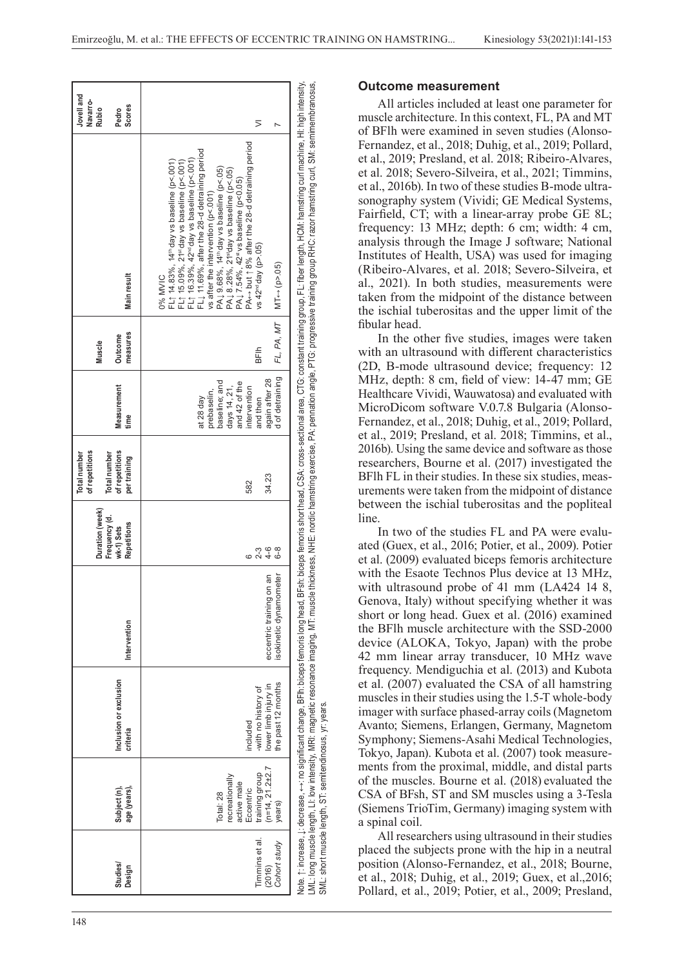| Studies/<br>Design                       | age (years),<br>Subject (n),                                                                                  | Inclusion or exclusion<br>criteria                                            | Intervention                                      | Duration (week)<br>Frequency (d.<br>Repetitions<br>wk-1) Sets | of repetitions<br><b>Total number</b><br>of repetitions<br><b>Total number</b><br>per training | Measurement<br>time                                                                                                                         | measures<br>Outcome<br>Muscle                         | Main result                                                                                                                                                                                                                                                                                                                                                                                                                                                                        | Jovell and<br>Navarro-<br>Scores<br>Rubio<br>Pedro |
|------------------------------------------|---------------------------------------------------------------------------------------------------------------|-------------------------------------------------------------------------------|---------------------------------------------------|---------------------------------------------------------------|------------------------------------------------------------------------------------------------|---------------------------------------------------------------------------------------------------------------------------------------------|-------------------------------------------------------|------------------------------------------------------------------------------------------------------------------------------------------------------------------------------------------------------------------------------------------------------------------------------------------------------------------------------------------------------------------------------------------------------------------------------------------------------------------------------------|----------------------------------------------------|
| Timmins et al.<br>Cohort study<br>(2016) | $(n=14, 21.2 \pm 2.7)$<br>training group<br>recreationally<br>active male<br>Eccentric<br>Total: 28<br>years) | the past 12 months<br>lower limb injury in<br>-with no history of<br>included | eccentric training on an<br>sokinetic dynamometer | $4 - 6$<br>$2 - 3$<br>$6 - 8$                                 | 34.23<br>582                                                                                   | d of detraining<br>again after 28<br>baseline; and<br>and 42 of the<br>days 14, 21,<br>intervention<br>prebaselin,<br>and then<br>at 28 day | $FL, PA, MT$   $MT \leftrightarrow (p > .05)$<br>BFlh | PA<- but 18% after the 28-d detraining period<br>FL1 11.69%, after the 28-d detraining period<br>FL $\uparrow$ 16.39%, 42 <sup>nd</sup> day vs baseline (p<.001)<br>FL↑ 14.83%, 14 <sup>th</sup> day vs baseline (p<.001)<br>FL↑ 15.09%, 21*'day vs baseline (p<.001)<br>PA L 9.68%, 14th day vs baseline (p<.05)<br>PA i 8.28%, 21ªday vs baseline (p<.05)<br>PA i 7.54%, 42ª' vs baseline (p<0.05)<br>vs after the intervention ( $p$ <.001)<br>vs $42nd$ day (p>.05)<br>0% MVIC | ⋝                                                  |
|                                          | SML: short muscle length. ST: semitendinosus. vr: vears.                                                      |                                                                               |                                                   |                                                               |                                                                                                |                                                                                                                                             |                                                       | .ML: long muscle length, Ll: low intensity, MRI: magnetic resonance imaging, MT: muscle thickness, NHE: nordic hamstring exercise, PA: pennation angle, PTG: progressive training group RHC: razor hamstring curl, SM: semimem<br>Note. ↑: increase, ↓: decrease, ← +: no significant change, BFIh: biceps femoris Inceps femoris short head, CSA: cross-sectional area, CTG: constant training group, FL: fiber length, HCM: hamstring cult machine, HI: high i                   |                                                    |

#### **Outcome measurement**

All articles included at least one parameter for muscle architecture. In this context, FL, PA and MT of BFlh were examined in seven studies (Alonso-Fernandez, et al., 2018; Duhig, et al., 2019; Pollard, et al., 2019; Presland, et al. 2018; Ribeiro-Alvares, et al. 2018; Severo-Silveira, et al., 2021; Timmins, et al., 2016b). In two of these studies B-mode ultra sonography system (Vividi; GE Medical Systems, Fairfield, CT; with a linear-array probe GE 8L; frequency: 13 MHz; depth: 6 cm; width: 4 cm, analysis through the Image J software; National Institutes of Health, USA) was used for imaging (Ribeiro-Alvares, et al. 2018; Severo-Silveira, et al., 2021). In both studies, measurements were taken from the midpoint of the distance between the ischial tuberositas and the upper limit of the fibular head.

In the other five studies, images were taken with an ultrasound with different characteristics (2D, B-mode ultrasound device; frequency: 12 MHz, depth: 8 cm, field of view: 14-47 mm; GE Healthcare Vividi, Wauwatosa) and evaluated with MicroDicom software V.0.7.8 Bulgaria (Alonso-Fernandez, et al., 2018; Duhig, et al., 2019; Pollard, et al., 2019; Presland, et al. 2018; Timmins, et al., 2016b). Using the same device and software as those researchers, Bourne et al. (2017) investigated the BFlh FL in their studies. In these six studies, meas urements were taken from the midpoint of distance between the ischial tuberositas and the popliteal line.

In two of the studies FL and PA were evalu ated (Guex, et al., 2016; Potier, et al., 2009). Potier et al. (2009) evaluated biceps femoris architecture with the Esaote Technos Plus device at 13 MHz, with ultrasound probe of 41 mm (LA424 14 8, Genova, Italy) without specifying whether it was short or long head. Guex et al. (2016) examined the BFlh muscle architecture with the SSD-2000 device (ALOKA, Tokyo, Japan) with the probe 42 mm linear array transducer, 10 MHz wave frequency. Mendiguchia et al. (2013) and Kubota et al. (2007) evaluated the CSA of all hamstring muscles in their studies using the 1.5-T whole-body imager with surface phased-array coils (Magnetom Avanto; Siemens, Erlangen, Germany, Magnetom Symphony; Siemens-Asahi Medical Technologies, Tokyo, Japan). Kubota et al. (2007) took measure ments from the proximal, middle, and distal parts of the muscles. Bourne et al. (2018) evaluated the CSA of BFsh, ST and SM muscles using a 3-Tesla (Siemens TrioTim, Germany) imaging system with a spinal coil.

All researchers using ultrasound in their studies placed the subjects prone with the hip in a neutral position (Alonso-Fernandez, et al., 2018; Bourne, et al., 2018; Duhig, et al., 2019; Guex, et al.,2016; Pollard, et al., 2019; Potier, et al., 2009; Presland,

SML: short muscle length, ST: semitendinosus, yr: years.

short muscle length, ST: semitendinosus, yr: years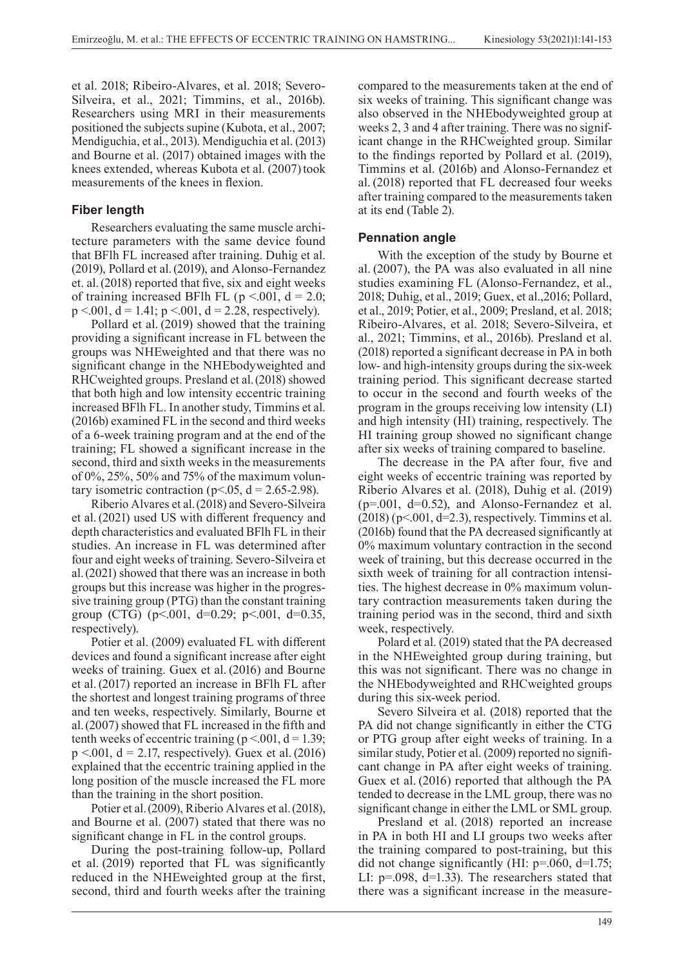et al. 2018; Ribeiro-Alvares, et al. 2018; Severo-Silveira, et al., 2021; Timmins, et al., 2016b). Researchers using MRI in their measurements positioned the subjects supine (Kubota, et al., 2007; Mendiguchia, et al., 2013). Mendiguchia et al. (2013) and Bourne et al. (2017) obtained images with the knees extended, whereas Kubota et al. (2007) took measurements of the knees in flexion.

### **Fiber length**

Researchers evaluating the same muscle architecture parameters with the same device found that BFlh FL increased after training. Duhig et al. (2019), Pollard et al.(2019), and Alonso-Fernandez et. al.(2018) reported that five, six and eight weeks of training increased BFlh FL ( $p \le 0.001$ ,  $d = 2.0$ ;  $p \le 0.001$ ,  $d = 1.41$ ;  $p \le 0.001$ ,  $d = 2.28$ , respectively).

Pollard et al. (2019) showed that the training providing a significant increase in FL between the groups was NHEweighted and that there was no significant change in the NHEbodyweighted and RHCweighted groups. Presland et al.(2018) showed that both high and low intensity eccentric training increased BFlh FL. In another study, Timmins et al. (2016b) examined FL in the second and third weeks of a 6-week training program and at the end of the training; FL showed a significant increase in the second, third and sixth weeks in the measurements of 0%, 25%, 50% and 75% of the maximum voluntary isometric contraction ( $p$ <.05, d = 2.65-2.98).

Riberio Alvares et al.(2018) and Severo-Silveira et al.(2021) used US with different frequency and depth characteristics and evaluated BFlh FL in their studies. An increase in FL was determined after four and eight weeks of training. Severo-Silveira et al.(2021) showed that there was an increase in both groups but this increase was higher in the progressive training group (PTG) than the constant training group (CTG) ( $p<.001$ ,  $d=0.29$ ;  $p<.001$ ,  $d=0.35$ , respectively).

Potier et al. (2009) evaluated FL with different devices and found a significant increase after eight weeks of training. Guex et al. (2016) and Bourne et al.(2017) reported an increase in BFlh FL after the shortest and longest training programs of three and ten weeks, respectively. Similarly, Bourne et al.(2007) showed that FL increased in the fifth and tenth weeks of eccentric training ( $p < 001$ ,  $d = 1.39$ ;  $p < .001$ ,  $d = 2.17$ , respectively). Guex et al. (2016) explained that the eccentric training applied in the long position of the muscle increased the FL more than the training in the short position.

Potier et al.(2009), Riberio Alvares et al.(2018), and Bourne et al. (2007) stated that there was no significant change in FL in the control groups.

During the post-training follow-up, Pollard et al. (2019) reported that FL was significantly reduced in the NHEweighted group at the first, second, third and fourth weeks after the training

compared to the measurements taken at the end of six weeks of training. This significant change was also observed in the NHEbodyweighted group at weeks 2, 3 and 4 after training. There was no significant change in the RHCweighted group. Similar to the findings reported by Pollard et al. (2019), Timmins et al. (2016b) and Alonso-Fernandez et al. (2018) reported that FL decreased four weeks after training compared to the measurements taken at its end (Table 2).

# **Pennation angle**

With the exception of the study by Bourne et al. (2007), the PA was also evaluated in all nine studies examining FL (Alonso-Fernandez, et al., 2018; Duhig, et al., 2019; Guex, et al.,2016; Pollard, et al., 2019; Potier, et al., 2009; Presland, et al. 2018; Ribeiro-Alvares, et al. 2018; Severo-Silveira, et al., 2021; Timmins, et al., 2016b). Presland et al. (2018) reported a significant decrease in PA in both low- and high-intensity groups during the six-week training period. This significant decrease started to occur in the second and fourth weeks of the program in the groups receiving low intensity (LI) and high intensity (HI) training, respectively. The HI training group showed no significant change after six weeks of training compared to baseline.

The decrease in the PA after four, five and eight weeks of eccentric training was reported by Riberio Alvares et al. (2018), Duhig et al. (2019)  $(p=0.01, d=0.52)$ , and Alonso-Fernandez et al.  $(2018)$  (p<.001, d=2.3), respectively. Timmins et al. (2016b) found that the PA decreased significantly at 0% maximum voluntary contraction in the second week of training, but this decrease occurred in the sixth week of training for all contraction intensities. The highest decrease in 0% maximum voluntary contraction measurements taken during the training period was in the second, third and sixth week, respectively.

Polard et al. (2019) stated that the PA decreased in the NHEweighted group during training, but this was not significant. There was no change in the NHEbodyweighted and RHCweighted groups during this six-week period.

Severo Silveira et al. (2018) reported that the PA did not change significantly in either the CTG or PTG group after eight weeks of training. In a similar study, Potier et al. (2009) reported no significant change in PA after eight weeks of training. Guex et al. (2016) reported that although the PA tended to decrease in the LML group, there was no significant change in either the LML or SML group.

Presland et al. (2018) reported an increase in PA in both HI and LI groups two weeks after the training compared to post-training, but this did not change significantly (HI: p=.060, d=1.75; LI: p=.098, d=1.33). The researchers stated that there was a significant increase in the measure-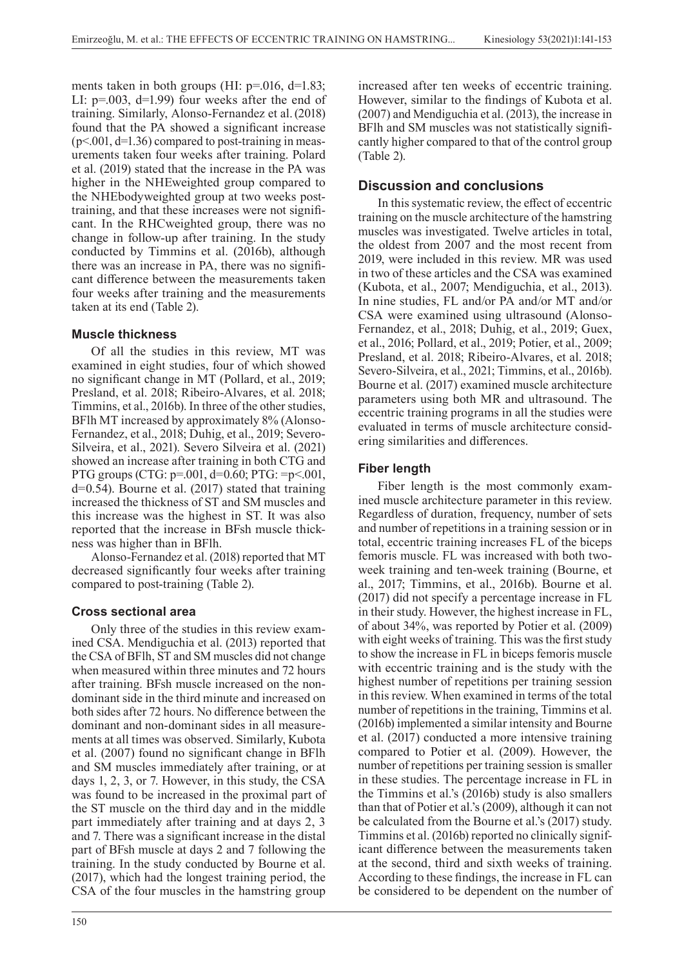ments taken in both groups (HI:  $p=016$ , d=1.83; LI: p=.003, d=1.99) four weeks after the end of training. Similarly, Alonso-Fernandez et al.(2018) found that the PA showed a significant increase  $(p<.001, d=1.36)$  compared to post-training in measurements taken four weeks after training. Polard et al. (2019) stated that the increase in the PA was higher in the NHEweighted group compared to the NHEbodyweighted group at two weeks posttraining, and that these increases were not significant. In the RHCweighted group, there was no change in follow-up after training. In the study conducted by Timmins et al. (2016b), although there was an increase in PA, there was no significant difference between the measurements taken four weeks after training and the measurements taken at its end (Table 2).

### **Muscle thickness**

Of all the studies in this review, MT was examined in eight studies, four of which showed no significant change in MT (Pollard, et al., 2019; Presland, et al. 2018; Ribeiro-Alvares, et al. 2018; Timmins, et al., 2016b). In three of the other studies, BFlh MT increased by approximately 8% (Alonso-Fernandez, et al., 2018; Duhig, et al., 2019; Severo-Silveira, et al., 2021). Severo Silveira et al. (2021) showed an increase after training in both CTG and PTG groups (CTG: p=.001, d=0.60; PTG: =p<.001, d=0.54). Bourne et al. (2017) stated that training increased the thickness of ST and SM muscles and this increase was the highest in ST. It was also reported that the increase in BFsh muscle thickness was higher than in BFlh.

Alonso-Fernandez et al. (2018) reported that MT decreased significantly four weeks after training compared to post-training (Table 2).

### **Cross sectional area**

Only three of the studies in this review examined CSA. Mendiguchia et al. (2013) reported that the CSA of BFlh, ST and SM muscles did not change when measured within three minutes and 72 hours after training. BFsh muscle increased on the nondominant side in the third minute and increased on both sides after 72 hours. No difference between the dominant and non-dominant sides in all measurements at all times was observed. Similarly, Kubota et al. (2007) found no significant change in BFlh and SM muscles immediately after training, or at days 1, 2, 3, or 7. However, in this study, the CSA was found to be increased in the proximal part of the ST muscle on the third day and in the middle part immediately after training and at days 2, 3 and 7. There was a significant increase in the distal part of BFsh muscle at days 2 and 7 following the training. In the study conducted by Bourne et al. (2017), which had the longest training period, the CSA of the four muscles in the hamstring group

increased after ten weeks of eccentric training. However, similar to the findings of Kubota et al. (2007) and Mendiguchia et al. (2013), the increase in BFlh and SM muscles was not statistically significantly higher compared to that of the control group (Table 2).

# **Discussion and conclusions**

In this systematic review, the effect of eccentric training on the muscle architecture of the hamstring muscles was investigated. Twelve articles in total, the oldest from 2007 and the most recent from 2019, were included in this review. MR was used in two of these articles and the CSA was examined (Kubota, et al., 2007; Mendiguchia, et al., 2013). In nine studies, FL and/or PA and/or MT and/or CSA were examined using ultrasound (Alonso-Fernandez, et al., 2018; Duhig, et al., 2019; Guex, et al., 2016; Pollard, et al., 2019; Potier, et al., 2009; Presland, et al. 2018; Ribeiro-Alvares, et al. 2018; Severo-Silveira, et al., 2021; Timmins, et al., 2016b). Bourne et al. (2017) examined muscle architecture parameters using both MR and ultrasound. The eccentric training programs in all the studies were evaluated in terms of muscle architecture considering similarities and differences.

## **Fiber length**

Fiber length is the most commonly examined muscle architecture parameter in this review. Regardless of duration, frequency, number of sets and number of repetitions in a training session or in total, eccentric training increases FL of the biceps femoris muscle. FL was increased with both twoweek training and ten-week training (Bourne, et al., 2017; Timmins, et al., 2016b). Bourne et al. (2017) did not specify a percentage increase in FL in their study. However, the highest increase in FL, of about 34%, was reported by Potier et al. (2009) with eight weeks of training. This was the first study to show the increase in FL in biceps femoris muscle with eccentric training and is the study with the highest number of repetitions per training session in this review. When examined in terms of the total number of repetitions in the training, Timmins et al. (2016b) implemented a similar intensity and Bourne et al. (2017) conducted a more intensive training compared to Potier et al. (2009). However, the number of repetitions per training session is smaller in these studies. The percentage increase in FL in the Timmins et al.'s (2016b) study is also smallers than that of Potier et al.'s (2009), although it can not be calculated from the Bourne et al.'s (2017) study. Timmins et al. (2016b) reported no clinically significant difference between the measurements taken at the second, third and sixth weeks of training. According to these findings, the increase in FL can be considered to be dependent on the number of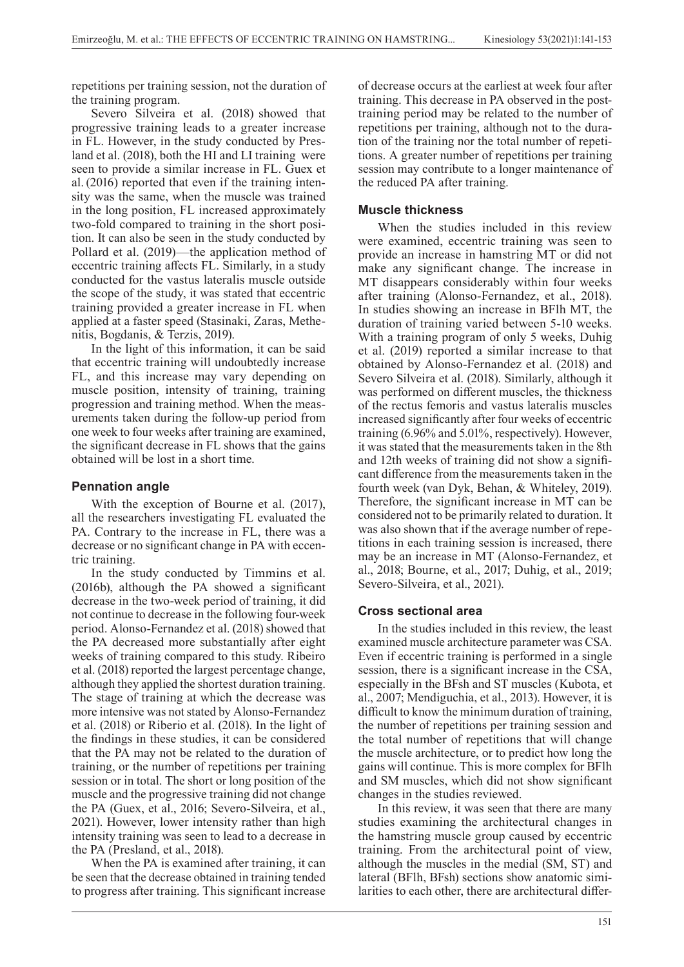repetitions per training session, not the duration of the training program.

Severo Silveira et al. (2018) showed that progressive training leads to a greater increase in FL. However, in the study conducted by Presland et al. (2018), both the HI and LI training were seen to provide a similar increase in FL. Guex et al. (2016) reported that even if the training intensity was the same, when the muscle was trained in the long position, FL increased approximately two-fold compared to training in the short position. It can also be seen in the study conducted by Pollard et al. (2019)—the application method of eccentric training affects FL. Similarly, in a study conducted for the vastus lateralis muscle outside the scope of the study, it was stated that eccentric training provided a greater increase in FL when applied at a faster speed (Stasinaki, Zaras, Methenitis, Bogdanis, & Terzis, 2019).

In the light of this information, it can be said that eccentric training will undoubtedly increase FL, and this increase may vary depending on muscle position, intensity of training, training progression and training method. When the measurements taken during the follow-up period from one week to four weeks after training are examined, the significant decrease in FL shows that the gains obtained will be lost in a short time.

#### **Pennation angle**

With the exception of Bourne et al. (2017), all the researchers investigating FL evaluated the PA. Contrary to the increase in FL, there was a decrease or no significant change in PA with eccentric training.

In the study conducted by Timmins et al. (2016b), although the PA showed a significant decrease in the two-week period of training, it did not continue to decrease in the following four-week period. Alonso-Fernandez et al. (2018) showed that the PA decreased more substantially after eight weeks of training compared to this study. Ribeiro et al. (2018) reported the largest percentage change, although they applied the shortest duration training. The stage of training at which the decrease was more intensive was not stated by Alonso-Fernandez et al. (2018) or Riberio et al. (2018). In the light of the findings in these studies, it can be considered that the PA may not be related to the duration of training, or the number of repetitions per training session or in total. The short or long position of the muscle and the progressive training did not change the PA (Guex, et al., 2016; Severo-Silveira, et al., 2021). However, lower intensity rather than high intensity training was seen to lead to a decrease in the PA (Presland, et al., 2018).

When the PA is examined after training, it can be seen that the decrease obtained in training tended to progress after training. This significant increase

of decrease occurs at the earliest at week four after training. This decrease in PA observed in the posttraining period may be related to the number of repetitions per training, although not to the duration of the training nor the total number of repetitions. A greater number of repetitions per training session may contribute to a longer maintenance of the reduced PA after training.

#### **Muscle thickness**

When the studies included in this review were examined, eccentric training was seen to provide an increase in hamstring MT or did not make any significant change. The increase in MT disappears considerably within four weeks after training (Alonso-Fernandez, et al., 2018). In studies showing an increase in BFlh MT, the duration of training varied between 5-10 weeks. With a training program of only 5 weeks, Duhig et al. (2019) reported a similar increase to that obtained by Alonso-Fernandez et al. (2018) and Severo Silveira et al. (2018). Similarly, although it was performed on different muscles, the thickness of the rectus femoris and vastus lateralis muscles increased significantly after four weeks of eccentric training (6.96% and 5.01%, respectively). However, it was stated that the measurements taken in the 8th and 12th weeks of training did not show a significant difference from the measurements taken in the fourth week (van Dyk, Behan, & Whiteley, 2019). Therefore, the significant increase in MT can be considered not to be primarily related to duration. It was also shown that if the average number of repetitions in each training session is increased, there may be an increase in MT (Alonso-Fernandez, et al., 2018; Bourne, et al., 2017; Duhig, et al., 2019; Severo-Silveira, et al., 2021).

### **Cross sectional area**

In the studies included in this review, the least examined muscle architecture parameter was CSA. Even if eccentric training is performed in a single session, there is a significant increase in the CSA, especially in the BFsh and ST muscles (Kubota, et al., 2007; Mendiguchia, et al., 2013). However, it is difficult to know the minimum duration of training, the number of repetitions per training session and the total number of repetitions that will change the muscle architecture, or to predict how long the gains will continue. This is more complex for BFlh and SM muscles, which did not show significant changes in the studies reviewed.

In this review, it was seen that there are many studies examining the architectural changes in the hamstring muscle group caused by eccentric training. From the architectural point of view, although the muscles in the medial (SM, ST) and lateral (BFlh, BFsh) sections show anatomic similarities to each other, there are architectural differ-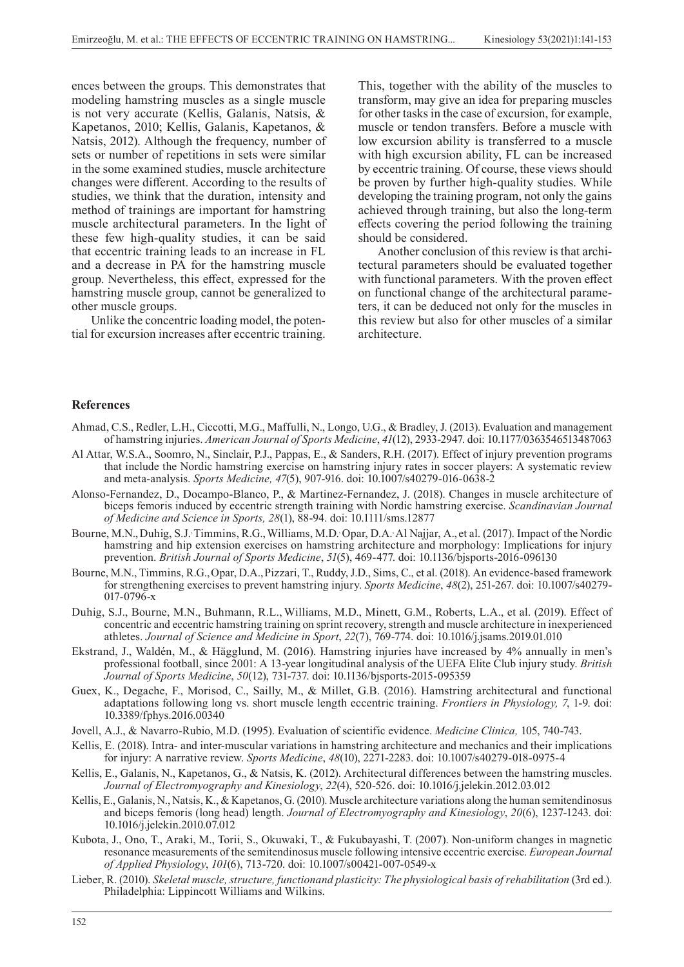ences between the groups. This demonstrates that modeling hamstring muscles as a single muscle is not very accurate (Kellis, Galanis, Natsis, & Kapetanos, 2010; Kellis, Galanis, Kapetanos, & Natsis, 2012). Although the frequency, number of sets or number of repetitions in sets were similar in the some examined studies, muscle architecture changes were different. According to the results of studies, we think that the duration, intensity and method of trainings are important for hamstring muscle architectural parameters. In the light of these few high-quality studies, it can be said that eccentric training leads to an increase in FL and a decrease in PA for the hamstring muscle group. Nevertheless, this effect, expressed for the hamstring muscle group, cannot be generalized to other muscle groups.

Unlike the concentric loading model, the potential for excursion increases after eccentric training.

This, together with the ability of the muscles to transform, may give an idea for preparing muscles for other tasks in the case of excursion, for example, muscle or tendon transfers. Before a muscle with low excursion ability is transferred to a muscle with high excursion ability, FL can be increased by eccentric training. Of course, these views should be proven by further high-quality studies. While developing the training program, not only the gains achieved through training, but also the long-term effects covering the period following the training should be considered.

Another conclusion of this review is that architectural parameters should be evaluated together with functional parameters. With the proven effect on functional change of the architectural parameters, it can be deduced not only for the muscles in this review but also for other muscles of a similar architecture.

#### **References**

- Ahmad, C.S., Redler, L.H., Ciccotti, M.G., Maffulli, N., Longo, U.G., & Bradley, J. (2013). Evaluation and management of hamstring injuries. *American Journal of Sports Medicine*, *41*(12), 2933-2947. doi: 10.1177/0363546513487063
- Al Attar, W.S.A., Soomro, N., Sinclair, P.J., Pappas, E., & Sanders, R.H. (2017). Effect of injury prevention programs that include the Nordic hamstring exercise on hamstring injury rates in soccer players: A systematic review and meta-analysis. *Sports Medicine, 47*(5), 907-916. doi: 10.1007/s40279-016-0638-2
- Alonso-Fernandez, D., Docampo-Blanco, P., & Martinez-Fernandez, J. (2018). Changes in muscle architecture of biceps femoris induced by eccentric strength training with Nordic hamstring exercise. *Scandinavian Journal of Medicine and Science in Sports, 28*(1), 88-94. doi: 10.1111/sms.12877
- Bourne, M.N., Duhig, S.J. Timmins, R.G., Williams, M.D. Opar, D.A. Al Najjar, A., et al. (2017). Impact of the Nordic hamstring and hip extension exercises on hamstring architecture and morphology: Implications for injury prevention. *British Journal of Sports Medicine*, *51*(5), 469-477. doi: 10.1136/bjsports-2016-096130
- Bourne, M.N., Timmins, R.G.,Opar, D.A.,Pizzari, T., Ruddy, J.D., Sims, C., et al. (2018). An evidence-based framework for strengthening exercises to prevent hamstring injury. *Sports Medicine*, *48*(2), 251-267. doi: 10.1007/s40279- 017-0796-x
- Duhig, S.J., Bourne, M.N., Buhmann, R.L., Williams, M.D., Minett, G.M., Roberts, L.A., et al. (2019). Effect of concentric and eccentric hamstring training on sprint recovery, strength and muscle architecture in inexperienced athletes. *Journal of Science and Medicine in Sport*, *22*(7), 769-774. doi: 10.1016/j.jsams.2019.01.010
- Ekstrand, J., Waldén, M., & Hägglund, M. (2016). Hamstring injuries have increased by 4% annually in men's professional football, since 2001: A 13-year longitudinal analysis of the UEFA Elite Club injury study. *British Journal of Sports Medicine*, *50*(12), 731-737. doi: 10.1136/bjsports-2015-095359
- Guex, K., Degache, F., Morisod, C., Sailly, M., & Millet, G.B. (2016). Hamstring architectural and functional adaptations following long vs. short muscle length eccentric training. *Frontiers in Physiology, 7*, 1-9. doi: 10.3389/fphys.2016.00340
- Jovell, A.J., & Navarro-Rubio, M.D. (1995). Evaluation of scientific evidence. *Medicine Clinica,* 105, 740-743.
- Kellis, E. (2018). Intra- and inter-muscular variations in hamstring architecture and mechanics and their implications for injury: A narrative review. *Sports Medicine*, *48*(10), 2271-2283. doi: 10.1007/s40279-018-0975-4
- Kellis, E., Galanis, N., Kapetanos, G., & Natsis, K. (2012). Architectural differences between the hamstring muscles. *Journal of Electromyography and Kinesiology*, *22*(4), 520-526. doi: 10.1016/j.jelekin.2012.03.012
- Kellis, E., Galanis, N., Natsis, K., & Kapetanos, G. (2010). Muscle architecture variations along the human semitendinosus and biceps femoris (long head) length. *Journal of Electromyography and Kinesiology*, *20*(6), 1237-1243. doi: 10.1016/j.jelekin.2010.07.012
- Kubota, J., Ono, T., Araki, M., Torii, S., Okuwaki, T., & Fukubayashi, T. (2007). Non-uniform changes in magnetic resonance measurements of the semitendinosus muscle following intensive eccentric exercise. *European Journal of Applied Physiology*, *101*(6), 713-720. doi: 10.1007/s00421-007-0549-x
- Lieber, R. (2010). *Skeletal muscle, structure, functionand plasticity: The physiological basis of rehabilitation* (3rd ed.). Philadelphia: Lippincott Williams and Wilkins.